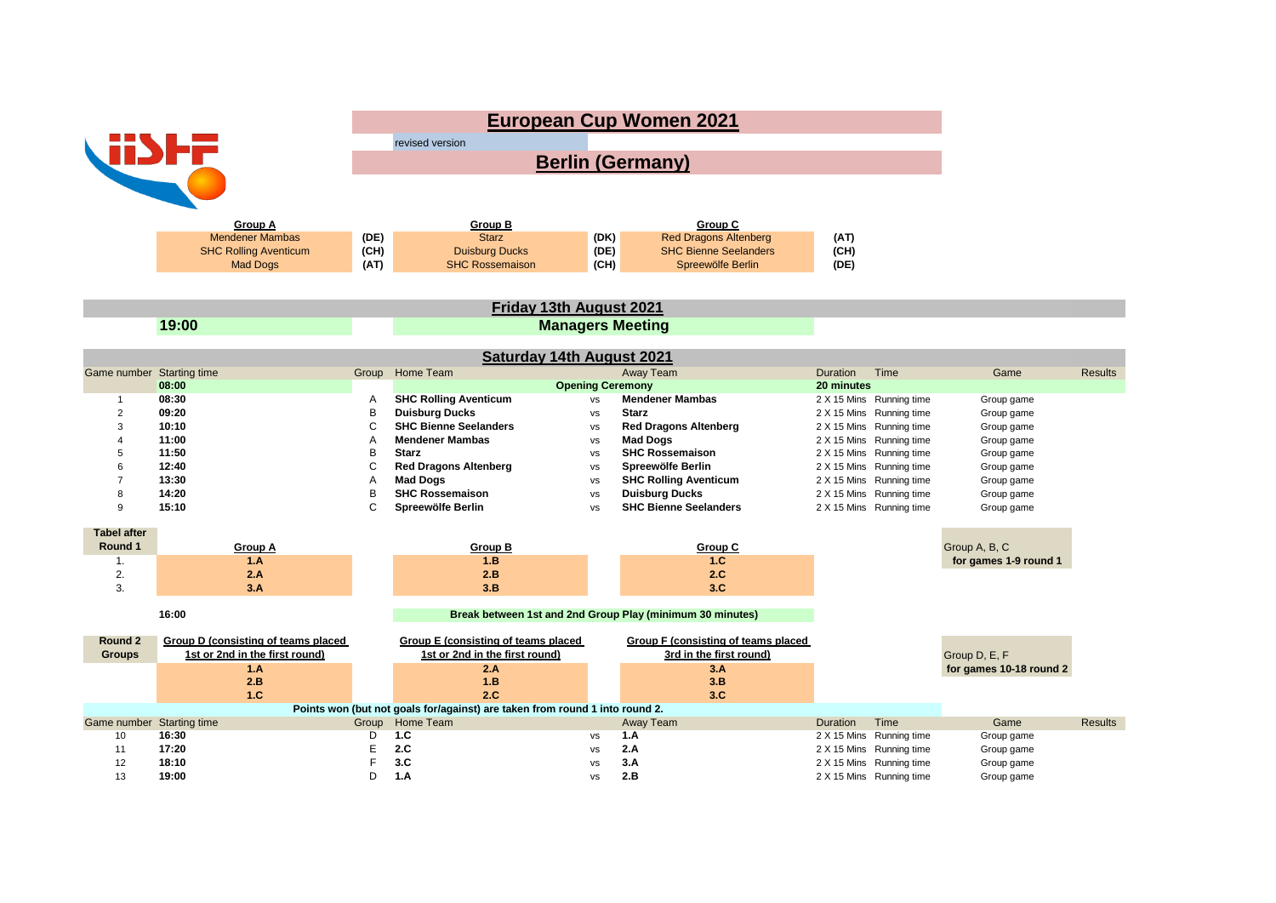| <b>Berlin (Germany)</b><br><b>Group A</b><br>Group B<br>Group C<br>(DK)<br><b>Mendener Mambas</b><br>(DE)<br><b>Starz</b><br><b>Red Dragons Altenberg</b><br>(AT)<br>(CH)<br>(DE)<br><b>SHC Bienne Seelanders</b><br><b>SHC Rolling Aventicum</b><br><b>Duisburg Ducks</b><br>(CH)<br>(CH)<br>(AT)<br><b>SHC Rossemaison</b><br>Spreewölfe Berlin<br>(DE)<br>Mad Dogs<br>Friday 13th August 2021<br>19:00<br><b>Managers Meeting</b><br><b>Saturday 14th August 2021</b><br>Group Home Team<br>Away Team<br>Time<br>Game number Starting time<br>Duration<br>Game<br><b>Results</b><br>08:00<br><b>Opening Ceremony</b><br>20 minutes<br><b>Mendener Mambas</b><br>08:30<br><b>SHC Rolling Aventicum</b><br>Α<br>2 X 15 Mins Running time<br>Group game<br><b>VS</b><br>1<br>B<br>$\overline{2}$<br>09:20<br><b>Duisburg Ducks</b><br><b>Starz</b><br>2 X 15 Mins Running time<br>Group game<br><b>VS</b><br>C<br>3<br>10:10<br><b>SHC Bienne Seelanders</b><br><b>Red Dragons Altenberg</b><br>2 X 15 Mins Running time<br>Group game<br><b>VS</b><br>11:00<br><b>Mendener Mambas</b><br><b>Mad Dogs</b><br>Α<br>Running time<br>Group game<br>4<br>2 X 15 Mins<br><b>VS</b><br>B<br>11:50<br><b>SHC Rossemaison</b><br>5<br><b>Starz</b><br>2 X 15 Mins Running time<br>Group game<br><b>VS</b><br>C<br>12:40<br><b>Red Dragons Altenberg</b><br>Spreewölfe Berlin<br>6<br>2 X 15 Mins Running time<br>Group game<br><b>VS</b><br>13:30<br><b>Mad Dogs</b><br>$\overline{7}$<br>Α<br><b>SHC Rolling Aventicum</b><br>2 X 15 Mins Running time<br>Group game<br>vs<br>B<br>14:20<br><b>SHC Rossemaison</b><br><b>Duisburg Ducks</b><br>8<br>2 X 15 Mins Running time<br>Group game<br>vs<br>C<br>15:10<br>Spreewölfe Berlin<br><b>SHC Bienne Seelanders</b><br>9<br>2 X 15 Mins Running time<br>Group game<br><b>VS</b><br><b>Tabel after</b><br>Round 1<br>Group A, B, C<br><b>Group B</b><br>Group C<br><b>Group A</b><br>1.B<br>1.C<br>1.A<br>for games 1-9 round 1<br>$\mathbf{1}$ .<br>2.<br>2.B<br>2.C<br>2.A<br>3.<br>3.A<br>3.B<br>3.C<br>16:00<br>Break between 1st and 2nd Group Play (minimum 30 minutes)<br>Group D (consisting of teams placed<br><b>Group F (consisting of teams placed</b><br>Round 2<br>Group E (consisting of teams placed<br>1st or 2nd in the first round)<br>1st or 2nd in the first round)<br>3rd in the first round)<br>Group D, E, F<br><b>Groups</b><br>2.A<br>3.A<br>1.A<br>for games 10-18 round 2<br>2.B<br>1.B<br>3.B<br>1.C<br>2.C<br>3.C<br>Points won (but not goals for/against) are taken from round 1 into round 2.<br>Game number Starting time<br>Home Team<br>Group<br>Away Team<br><b>Duration</b><br>Time<br>Game<br><b>Results</b><br>1.C<br>10<br>16:30<br>D<br>1.A<br>2 X 15 Mins Running time<br>Group game<br><b>VS</b><br>E<br>17:20<br>2.C<br>2.A<br>11<br>2 X 15 Mins Running time<br>Group game<br><b>VS</b><br>F<br>3.C<br>12<br>18:10<br>3.A<br>2 X 15 Mins Running time<br>Group game<br><b>VS</b> |    |       | <b>European Cup Women 2021</b> |                 |           |     |  |  |            |  |  |  |
|------------------------------------------------------------------------------------------------------------------------------------------------------------------------------------------------------------------------------------------------------------------------------------------------------------------------------------------------------------------------------------------------------------------------------------------------------------------------------------------------------------------------------------------------------------------------------------------------------------------------------------------------------------------------------------------------------------------------------------------------------------------------------------------------------------------------------------------------------------------------------------------------------------------------------------------------------------------------------------------------------------------------------------------------------------------------------------------------------------------------------------------------------------------------------------------------------------------------------------------------------------------------------------------------------------------------------------------------------------------------------------------------------------------------------------------------------------------------------------------------------------------------------------------------------------------------------------------------------------------------------------------------------------------------------------------------------------------------------------------------------------------------------------------------------------------------------------------------------------------------------------------------------------------------------------------------------------------------------------------------------------------------------------------------------------------------------------------------------------------------------------------------------------------------------------------------------------------------------------------------------------------------------------------------------------------------------------------------------------------------------------------------------------------------------------------------------------------------------------------------------------------------------------------------------------------------------------------------------------------------------------------------------------------------------------------------------------------------------------------------------------------------------------------------------------------------------------------------------------------------------------------------------------------------------------------------------------------------|----|-------|--------------------------------|-----------------|-----------|-----|--|--|------------|--|--|--|
|                                                                                                                                                                                                                                                                                                                                                                                                                                                                                                                                                                                                                                                                                                                                                                                                                                                                                                                                                                                                                                                                                                                                                                                                                                                                                                                                                                                                                                                                                                                                                                                                                                                                                                                                                                                                                                                                                                                                                                                                                                                                                                                                                                                                                                                                                                                                                                                                                                                                                                                                                                                                                                                                                                                                                                                                                                                                                                                                                                        |    |       |                                | revised version |           |     |  |  |            |  |  |  |
|                                                                                                                                                                                                                                                                                                                                                                                                                                                                                                                                                                                                                                                                                                                                                                                                                                                                                                                                                                                                                                                                                                                                                                                                                                                                                                                                                                                                                                                                                                                                                                                                                                                                                                                                                                                                                                                                                                                                                                                                                                                                                                                                                                                                                                                                                                                                                                                                                                                                                                                                                                                                                                                                                                                                                                                                                                                                                                                                                                        |    |       |                                |                 |           |     |  |  |            |  |  |  |
|                                                                                                                                                                                                                                                                                                                                                                                                                                                                                                                                                                                                                                                                                                                                                                                                                                                                                                                                                                                                                                                                                                                                                                                                                                                                                                                                                                                                                                                                                                                                                                                                                                                                                                                                                                                                                                                                                                                                                                                                                                                                                                                                                                                                                                                                                                                                                                                                                                                                                                                                                                                                                                                                                                                                                                                                                                                                                                                                                                        |    |       |                                |                 |           |     |  |  |            |  |  |  |
|                                                                                                                                                                                                                                                                                                                                                                                                                                                                                                                                                                                                                                                                                                                                                                                                                                                                                                                                                                                                                                                                                                                                                                                                                                                                                                                                                                                                                                                                                                                                                                                                                                                                                                                                                                                                                                                                                                                                                                                                                                                                                                                                                                                                                                                                                                                                                                                                                                                                                                                                                                                                                                                                                                                                                                                                                                                                                                                                                                        |    |       |                                |                 |           |     |  |  |            |  |  |  |
|                                                                                                                                                                                                                                                                                                                                                                                                                                                                                                                                                                                                                                                                                                                                                                                                                                                                                                                                                                                                                                                                                                                                                                                                                                                                                                                                                                                                                                                                                                                                                                                                                                                                                                                                                                                                                                                                                                                                                                                                                                                                                                                                                                                                                                                                                                                                                                                                                                                                                                                                                                                                                                                                                                                                                                                                                                                                                                                                                                        |    |       |                                |                 |           |     |  |  |            |  |  |  |
|                                                                                                                                                                                                                                                                                                                                                                                                                                                                                                                                                                                                                                                                                                                                                                                                                                                                                                                                                                                                                                                                                                                                                                                                                                                                                                                                                                                                                                                                                                                                                                                                                                                                                                                                                                                                                                                                                                                                                                                                                                                                                                                                                                                                                                                                                                                                                                                                                                                                                                                                                                                                                                                                                                                                                                                                                                                                                                                                                                        |    |       |                                |                 |           |     |  |  |            |  |  |  |
|                                                                                                                                                                                                                                                                                                                                                                                                                                                                                                                                                                                                                                                                                                                                                                                                                                                                                                                                                                                                                                                                                                                                                                                                                                                                                                                                                                                                                                                                                                                                                                                                                                                                                                                                                                                                                                                                                                                                                                                                                                                                                                                                                                                                                                                                                                                                                                                                                                                                                                                                                                                                                                                                                                                                                                                                                                                                                                                                                                        |    |       |                                |                 |           |     |  |  |            |  |  |  |
|                                                                                                                                                                                                                                                                                                                                                                                                                                                                                                                                                                                                                                                                                                                                                                                                                                                                                                                                                                                                                                                                                                                                                                                                                                                                                                                                                                                                                                                                                                                                                                                                                                                                                                                                                                                                                                                                                                                                                                                                                                                                                                                                                                                                                                                                                                                                                                                                                                                                                                                                                                                                                                                                                                                                                                                                                                                                                                                                                                        |    |       |                                |                 |           |     |  |  |            |  |  |  |
|                                                                                                                                                                                                                                                                                                                                                                                                                                                                                                                                                                                                                                                                                                                                                                                                                                                                                                                                                                                                                                                                                                                                                                                                                                                                                                                                                                                                                                                                                                                                                                                                                                                                                                                                                                                                                                                                                                                                                                                                                                                                                                                                                                                                                                                                                                                                                                                                                                                                                                                                                                                                                                                                                                                                                                                                                                                                                                                                                                        |    |       |                                |                 |           |     |  |  |            |  |  |  |
|                                                                                                                                                                                                                                                                                                                                                                                                                                                                                                                                                                                                                                                                                                                                                                                                                                                                                                                                                                                                                                                                                                                                                                                                                                                                                                                                                                                                                                                                                                                                                                                                                                                                                                                                                                                                                                                                                                                                                                                                                                                                                                                                                                                                                                                                                                                                                                                                                                                                                                                                                                                                                                                                                                                                                                                                                                                                                                                                                                        |    |       |                                |                 |           |     |  |  |            |  |  |  |
|                                                                                                                                                                                                                                                                                                                                                                                                                                                                                                                                                                                                                                                                                                                                                                                                                                                                                                                                                                                                                                                                                                                                                                                                                                                                                                                                                                                                                                                                                                                                                                                                                                                                                                                                                                                                                                                                                                                                                                                                                                                                                                                                                                                                                                                                                                                                                                                                                                                                                                                                                                                                                                                                                                                                                                                                                                                                                                                                                                        |    |       |                                |                 |           |     |  |  |            |  |  |  |
|                                                                                                                                                                                                                                                                                                                                                                                                                                                                                                                                                                                                                                                                                                                                                                                                                                                                                                                                                                                                                                                                                                                                                                                                                                                                                                                                                                                                                                                                                                                                                                                                                                                                                                                                                                                                                                                                                                                                                                                                                                                                                                                                                                                                                                                                                                                                                                                                                                                                                                                                                                                                                                                                                                                                                                                                                                                                                                                                                                        |    |       |                                |                 |           |     |  |  |            |  |  |  |
|                                                                                                                                                                                                                                                                                                                                                                                                                                                                                                                                                                                                                                                                                                                                                                                                                                                                                                                                                                                                                                                                                                                                                                                                                                                                                                                                                                                                                                                                                                                                                                                                                                                                                                                                                                                                                                                                                                                                                                                                                                                                                                                                                                                                                                                                                                                                                                                                                                                                                                                                                                                                                                                                                                                                                                                                                                                                                                                                                                        |    |       |                                |                 |           |     |  |  |            |  |  |  |
|                                                                                                                                                                                                                                                                                                                                                                                                                                                                                                                                                                                                                                                                                                                                                                                                                                                                                                                                                                                                                                                                                                                                                                                                                                                                                                                                                                                                                                                                                                                                                                                                                                                                                                                                                                                                                                                                                                                                                                                                                                                                                                                                                                                                                                                                                                                                                                                                                                                                                                                                                                                                                                                                                                                                                                                                                                                                                                                                                                        |    |       |                                |                 |           |     |  |  |            |  |  |  |
|                                                                                                                                                                                                                                                                                                                                                                                                                                                                                                                                                                                                                                                                                                                                                                                                                                                                                                                                                                                                                                                                                                                                                                                                                                                                                                                                                                                                                                                                                                                                                                                                                                                                                                                                                                                                                                                                                                                                                                                                                                                                                                                                                                                                                                                                                                                                                                                                                                                                                                                                                                                                                                                                                                                                                                                                                                                                                                                                                                        |    |       |                                |                 |           |     |  |  |            |  |  |  |
|                                                                                                                                                                                                                                                                                                                                                                                                                                                                                                                                                                                                                                                                                                                                                                                                                                                                                                                                                                                                                                                                                                                                                                                                                                                                                                                                                                                                                                                                                                                                                                                                                                                                                                                                                                                                                                                                                                                                                                                                                                                                                                                                                                                                                                                                                                                                                                                                                                                                                                                                                                                                                                                                                                                                                                                                                                                                                                                                                                        |    |       |                                |                 |           |     |  |  |            |  |  |  |
|                                                                                                                                                                                                                                                                                                                                                                                                                                                                                                                                                                                                                                                                                                                                                                                                                                                                                                                                                                                                                                                                                                                                                                                                                                                                                                                                                                                                                                                                                                                                                                                                                                                                                                                                                                                                                                                                                                                                                                                                                                                                                                                                                                                                                                                                                                                                                                                                                                                                                                                                                                                                                                                                                                                                                                                                                                                                                                                                                                        |    |       |                                |                 |           |     |  |  |            |  |  |  |
|                                                                                                                                                                                                                                                                                                                                                                                                                                                                                                                                                                                                                                                                                                                                                                                                                                                                                                                                                                                                                                                                                                                                                                                                                                                                                                                                                                                                                                                                                                                                                                                                                                                                                                                                                                                                                                                                                                                                                                                                                                                                                                                                                                                                                                                                                                                                                                                                                                                                                                                                                                                                                                                                                                                                                                                                                                                                                                                                                                        |    |       |                                |                 |           |     |  |  |            |  |  |  |
|                                                                                                                                                                                                                                                                                                                                                                                                                                                                                                                                                                                                                                                                                                                                                                                                                                                                                                                                                                                                                                                                                                                                                                                                                                                                                                                                                                                                                                                                                                                                                                                                                                                                                                                                                                                                                                                                                                                                                                                                                                                                                                                                                                                                                                                                                                                                                                                                                                                                                                                                                                                                                                                                                                                                                                                                                                                                                                                                                                        |    |       |                                |                 |           |     |  |  |            |  |  |  |
|                                                                                                                                                                                                                                                                                                                                                                                                                                                                                                                                                                                                                                                                                                                                                                                                                                                                                                                                                                                                                                                                                                                                                                                                                                                                                                                                                                                                                                                                                                                                                                                                                                                                                                                                                                                                                                                                                                                                                                                                                                                                                                                                                                                                                                                                                                                                                                                                                                                                                                                                                                                                                                                                                                                                                                                                                                                                                                                                                                        |    |       |                                |                 |           |     |  |  |            |  |  |  |
|                                                                                                                                                                                                                                                                                                                                                                                                                                                                                                                                                                                                                                                                                                                                                                                                                                                                                                                                                                                                                                                                                                                                                                                                                                                                                                                                                                                                                                                                                                                                                                                                                                                                                                                                                                                                                                                                                                                                                                                                                                                                                                                                                                                                                                                                                                                                                                                                                                                                                                                                                                                                                                                                                                                                                                                                                                                                                                                                                                        |    |       |                                |                 |           |     |  |  |            |  |  |  |
|                                                                                                                                                                                                                                                                                                                                                                                                                                                                                                                                                                                                                                                                                                                                                                                                                                                                                                                                                                                                                                                                                                                                                                                                                                                                                                                                                                                                                                                                                                                                                                                                                                                                                                                                                                                                                                                                                                                                                                                                                                                                                                                                                                                                                                                                                                                                                                                                                                                                                                                                                                                                                                                                                                                                                                                                                                                                                                                                                                        |    |       |                                |                 |           |     |  |  |            |  |  |  |
|                                                                                                                                                                                                                                                                                                                                                                                                                                                                                                                                                                                                                                                                                                                                                                                                                                                                                                                                                                                                                                                                                                                                                                                                                                                                                                                                                                                                                                                                                                                                                                                                                                                                                                                                                                                                                                                                                                                                                                                                                                                                                                                                                                                                                                                                                                                                                                                                                                                                                                                                                                                                                                                                                                                                                                                                                                                                                                                                                                        |    |       |                                |                 |           |     |  |  |            |  |  |  |
|                                                                                                                                                                                                                                                                                                                                                                                                                                                                                                                                                                                                                                                                                                                                                                                                                                                                                                                                                                                                                                                                                                                                                                                                                                                                                                                                                                                                                                                                                                                                                                                                                                                                                                                                                                                                                                                                                                                                                                                                                                                                                                                                                                                                                                                                                                                                                                                                                                                                                                                                                                                                                                                                                                                                                                                                                                                                                                                                                                        |    |       |                                |                 |           |     |  |  |            |  |  |  |
|                                                                                                                                                                                                                                                                                                                                                                                                                                                                                                                                                                                                                                                                                                                                                                                                                                                                                                                                                                                                                                                                                                                                                                                                                                                                                                                                                                                                                                                                                                                                                                                                                                                                                                                                                                                                                                                                                                                                                                                                                                                                                                                                                                                                                                                                                                                                                                                                                                                                                                                                                                                                                                                                                                                                                                                                                                                                                                                                                                        |    |       |                                |                 |           |     |  |  |            |  |  |  |
|                                                                                                                                                                                                                                                                                                                                                                                                                                                                                                                                                                                                                                                                                                                                                                                                                                                                                                                                                                                                                                                                                                                                                                                                                                                                                                                                                                                                                                                                                                                                                                                                                                                                                                                                                                                                                                                                                                                                                                                                                                                                                                                                                                                                                                                                                                                                                                                                                                                                                                                                                                                                                                                                                                                                                                                                                                                                                                                                                                        |    |       |                                |                 |           |     |  |  |            |  |  |  |
|                                                                                                                                                                                                                                                                                                                                                                                                                                                                                                                                                                                                                                                                                                                                                                                                                                                                                                                                                                                                                                                                                                                                                                                                                                                                                                                                                                                                                                                                                                                                                                                                                                                                                                                                                                                                                                                                                                                                                                                                                                                                                                                                                                                                                                                                                                                                                                                                                                                                                                                                                                                                                                                                                                                                                                                                                                                                                                                                                                        |    |       |                                |                 |           |     |  |  |            |  |  |  |
|                                                                                                                                                                                                                                                                                                                                                                                                                                                                                                                                                                                                                                                                                                                                                                                                                                                                                                                                                                                                                                                                                                                                                                                                                                                                                                                                                                                                                                                                                                                                                                                                                                                                                                                                                                                                                                                                                                                                                                                                                                                                                                                                                                                                                                                                                                                                                                                                                                                                                                                                                                                                                                                                                                                                                                                                                                                                                                                                                                        |    |       |                                |                 |           |     |  |  |            |  |  |  |
|                                                                                                                                                                                                                                                                                                                                                                                                                                                                                                                                                                                                                                                                                                                                                                                                                                                                                                                                                                                                                                                                                                                                                                                                                                                                                                                                                                                                                                                                                                                                                                                                                                                                                                                                                                                                                                                                                                                                                                                                                                                                                                                                                                                                                                                                                                                                                                                                                                                                                                                                                                                                                                                                                                                                                                                                                                                                                                                                                                        |    |       |                                |                 |           |     |  |  |            |  |  |  |
|                                                                                                                                                                                                                                                                                                                                                                                                                                                                                                                                                                                                                                                                                                                                                                                                                                                                                                                                                                                                                                                                                                                                                                                                                                                                                                                                                                                                                                                                                                                                                                                                                                                                                                                                                                                                                                                                                                                                                                                                                                                                                                                                                                                                                                                                                                                                                                                                                                                                                                                                                                                                                                                                                                                                                                                                                                                                                                                                                                        |    |       |                                |                 |           |     |  |  |            |  |  |  |
|                                                                                                                                                                                                                                                                                                                                                                                                                                                                                                                                                                                                                                                                                                                                                                                                                                                                                                                                                                                                                                                                                                                                                                                                                                                                                                                                                                                                                                                                                                                                                                                                                                                                                                                                                                                                                                                                                                                                                                                                                                                                                                                                                                                                                                                                                                                                                                                                                                                                                                                                                                                                                                                                                                                                                                                                                                                                                                                                                                        |    |       |                                |                 |           |     |  |  |            |  |  |  |
|                                                                                                                                                                                                                                                                                                                                                                                                                                                                                                                                                                                                                                                                                                                                                                                                                                                                                                                                                                                                                                                                                                                                                                                                                                                                                                                                                                                                                                                                                                                                                                                                                                                                                                                                                                                                                                                                                                                                                                                                                                                                                                                                                                                                                                                                                                                                                                                                                                                                                                                                                                                                                                                                                                                                                                                                                                                                                                                                                                        |    |       |                                |                 |           |     |  |  |            |  |  |  |
|                                                                                                                                                                                                                                                                                                                                                                                                                                                                                                                                                                                                                                                                                                                                                                                                                                                                                                                                                                                                                                                                                                                                                                                                                                                                                                                                                                                                                                                                                                                                                                                                                                                                                                                                                                                                                                                                                                                                                                                                                                                                                                                                                                                                                                                                                                                                                                                                                                                                                                                                                                                                                                                                                                                                                                                                                                                                                                                                                                        |    |       |                                |                 |           |     |  |  |            |  |  |  |
|                                                                                                                                                                                                                                                                                                                                                                                                                                                                                                                                                                                                                                                                                                                                                                                                                                                                                                                                                                                                                                                                                                                                                                                                                                                                                                                                                                                                                                                                                                                                                                                                                                                                                                                                                                                                                                                                                                                                                                                                                                                                                                                                                                                                                                                                                                                                                                                                                                                                                                                                                                                                                                                                                                                                                                                                                                                                                                                                                                        |    |       |                                |                 |           |     |  |  |            |  |  |  |
|                                                                                                                                                                                                                                                                                                                                                                                                                                                                                                                                                                                                                                                                                                                                                                                                                                                                                                                                                                                                                                                                                                                                                                                                                                                                                                                                                                                                                                                                                                                                                                                                                                                                                                                                                                                                                                                                                                                                                                                                                                                                                                                                                                                                                                                                                                                                                                                                                                                                                                                                                                                                                                                                                                                                                                                                                                                                                                                                                                        |    |       |                                |                 |           |     |  |  |            |  |  |  |
|                                                                                                                                                                                                                                                                                                                                                                                                                                                                                                                                                                                                                                                                                                                                                                                                                                                                                                                                                                                                                                                                                                                                                                                                                                                                                                                                                                                                                                                                                                                                                                                                                                                                                                                                                                                                                                                                                                                                                                                                                                                                                                                                                                                                                                                                                                                                                                                                                                                                                                                                                                                                                                                                                                                                                                                                                                                                                                                                                                        |    |       |                                |                 |           |     |  |  |            |  |  |  |
|                                                                                                                                                                                                                                                                                                                                                                                                                                                                                                                                                                                                                                                                                                                                                                                                                                                                                                                                                                                                                                                                                                                                                                                                                                                                                                                                                                                                                                                                                                                                                                                                                                                                                                                                                                                                                                                                                                                                                                                                                                                                                                                                                                                                                                                                                                                                                                                                                                                                                                                                                                                                                                                                                                                                                                                                                                                                                                                                                                        |    |       |                                |                 |           |     |  |  |            |  |  |  |
| 2 X 15 Mins Running time                                                                                                                                                                                                                                                                                                                                                                                                                                                                                                                                                                                                                                                                                                                                                                                                                                                                                                                                                                                                                                                                                                                                                                                                                                                                                                                                                                                                                                                                                                                                                                                                                                                                                                                                                                                                                                                                                                                                                                                                                                                                                                                                                                                                                                                                                                                                                                                                                                                                                                                                                                                                                                                                                                                                                                                                                                                                                                                                               | 13 | 19:00 | D                              | 1.A             | <b>VS</b> | 2.B |  |  | Group game |  |  |  |